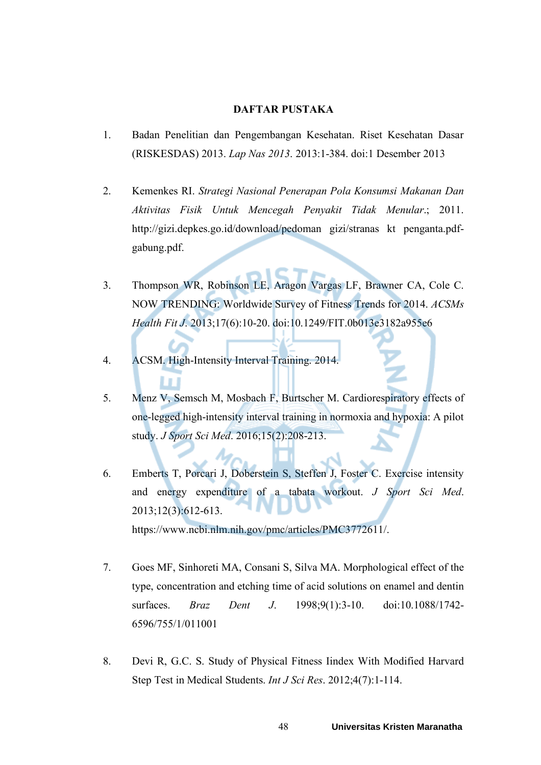## **DAFTAR PUSTAKA**

- 1. Badan Penelitian dan Pengembangan Kesehatan. Riset Kesehatan Dasar (RISKESDAS) 2013. *Lap Nas 2013*. 2013:1-384. doi:1 Desember 2013
- 2. Kemenkes RI. *Strategi Nasional Penerapan Pola Konsumsi Makanan Dan Aktivitas Fisik Untuk Mencegah Penyakit Tidak Menular*.; 2011. http://gizi.depkes.go.id/download/pedoman gizi/stranas kt penganta.pdfgabung.pdf.
- 3. Thompson WR, Robinson LE, Aragon Vargas LF, Brawner CA, Cole C. NOW TRENDING: Worldwide Survey of Fitness Trends for 2014. *ACSMs Health Fit J*. 2013;17(6):10-20. doi:10.1249/FIT.0b013e3182a955e6
- 4. ACSM. High-Intensity Interval Training. 2014.
- 5. Menz V, Semsch M, Mosbach F, Burtscher M. Cardiorespiratory effects of one-legged high-intensity interval training in normoxia and hypoxia: A pilot study. *J Sport Sci Med*. 2016;15(2):208-213.
- 6. Emberts T, Porcari J, Doberstein S, Steffen J, Foster C. Exercise intensity and energy expenditure of a tabata workout. *J Sport Sci Med*. 2013;12(3):612-613. https://www.ncbi.nlm.nih.gov/pmc/articles/PMC3772611/.
- 7. Goes MF, Sinhoreti MA, Consani S, Silva MA. Morphological effect of the type, concentration and etching time of acid solutions on enamel and dentin surfaces. *Braz Dent J*. 1998;9(1):3-10. doi:10.1088/1742- 6596/755/1/011001
- 8. Devi R, G.C. S. Study of Physical Fitness Iindex With Modified Harvard Step Test in Medical Students. *Int J Sci Res*. 2012;4(7):1-114.

48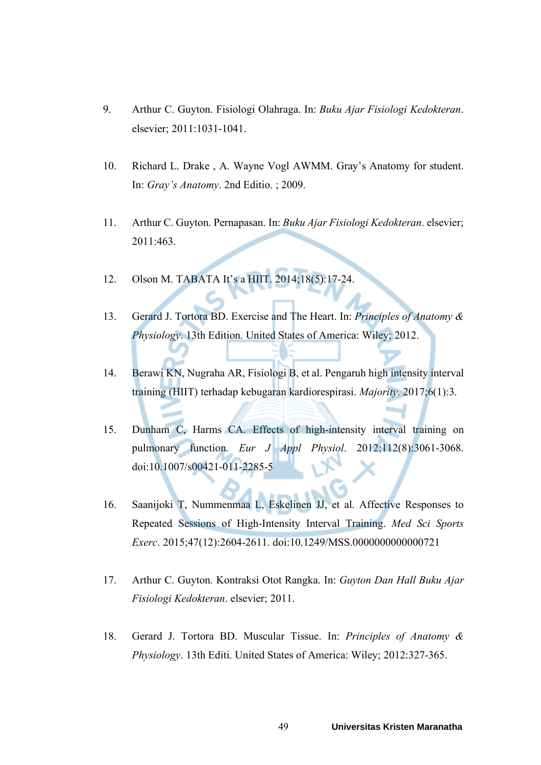- 9. Arthur C. Guyton. Fisiologi Olahraga. In: *Buku Ajar Fisiologi Kedokteran*. elsevier; 2011:1031-1041.
- 10. Richard L. Drake , A. Wayne Vogl AWMM. Gray's Anatomy for student. In: *Gray's Anatomy*. 2nd Editio. ; 2009.
- 11. Arthur C. Guyton. Pernapasan. In: *Buku Ajar Fisiologi Kedokteran*. elsevier;  $2011 \cdot 463$
- 12. Olson M. TABATA It's a HIIT. 2014;18(5):17-24.
- 13. Gerard J. Tortora BD. Exercise and The Heart. In: *Principles of Anatomy & Physiology*. 13th Edition. United States of America: Wiley; 2012.
- 14. Berawi KN, Nugraha AR, Fisiologi B, et al. Pengaruh high intensity interval training (HIIT) terhadap kebugaran kardiorespirasi. *Majority*. 2017;6(1):3.
- 15. Dunham C, Harms CA. Effects of high-intensity interval training on pulmonary function. *Eur J Appl Physiol*. 2012;112(8):3061-3068. doi:10.1007/s00421-011-2285-5
- 16. Saanijoki T, Nummenmaa L, Eskelinen JJ, et al. Affective Responses to Repeated Sessions of High-Intensity Interval Training. *Med Sci Sports Exerc*. 2015;47(12):2604-2611. doi:10.1249/MSS.0000000000000721
- 17. Arthur C. Guyton. Kontraksi Otot Rangka. In: *Guyton Dan Hall Buku Ajar Fisiologi Kedokteran*. elsevier; 2011.
- 18. Gerard J. Tortora BD. Muscular Tissue. In: *Principles of Anatomy & Physiology*. 13th Editi. United States of America: Wiley; 2012:327-365.

49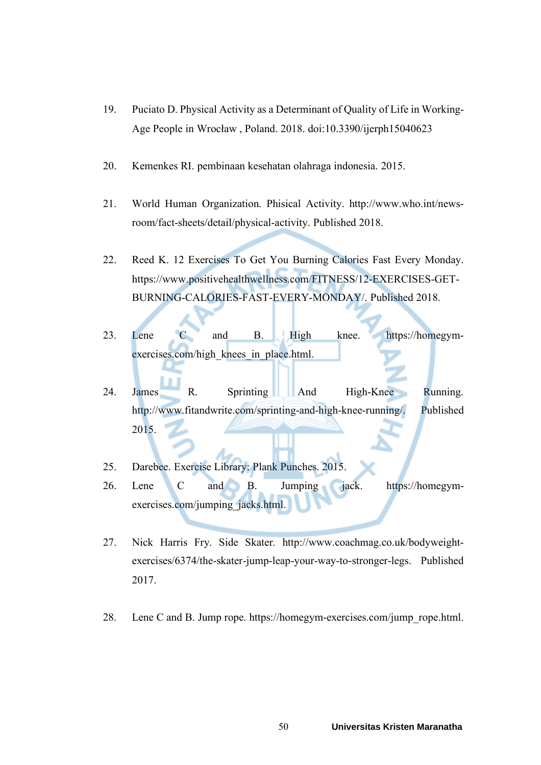- 19. Puciato D. Physical Activity as a Determinant of Quality of Life in Working-Age People in Wrocław , Poland. 2018. doi:10.3390/ijerph15040623
- 20. Kemenkes RI. pembinaan kesehatan olahraga indonesia. 2015.
- 21. World Human Organization. Phisical Activity. http://www.who.int/newsroom/fact-sheets/detail/physical-activity. Published 2018.
- 22. Reed K. 12 Exercises To Get You Burning Calories Fast Every Monday. https://www.positivehealthwellness.com/FITNESS/12-EXERCISES-GET-BURNING-CALORIES-FAST-EVERY-MONDAY/. Published 2018.
- 23. Lene C and B. High knee. https://homegymexercises.com/high\_knees\_in\_place.html.
- 24. James R. Sprinting And High-Knee Running. http://www.fitandwrite.com/sprinting-and-high-knee-running/. Published 2015.
- 25. Darebee. Exercise Library: Plank Punches. 2015.
- 26. Lene C and B. Jumping jack. https://homegymexercises.com/jumping\_jacks.html.
- 27. Nick Harris Fry. Side Skater. http://www.coachmag.co.uk/bodyweightexercises/6374/the-skater-jump-leap-your-way-to-stronger-legs. Published 2017.
- 28. Lene C and B. Jump rope. https://homegym-exercises.com/jump\_rope.html.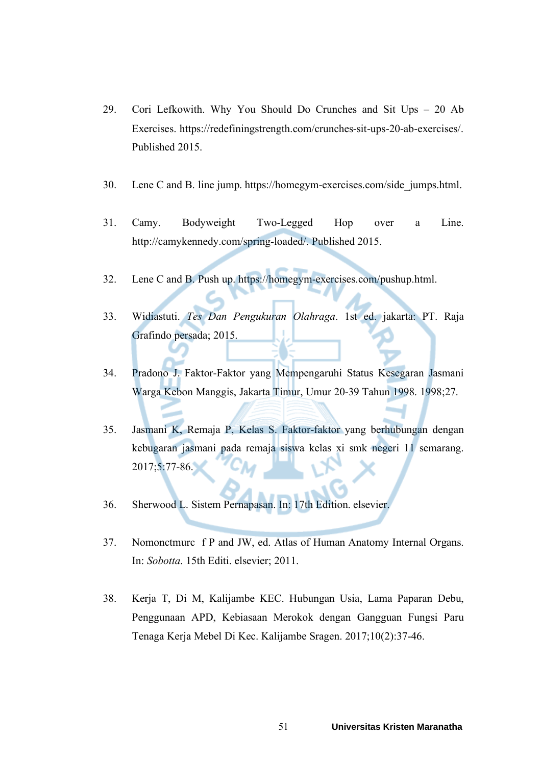- 29. Cori Lefkowith. Why You Should Do Crunches and Sit Ups 20 Ab Exercises. https://redefiningstrength.com/crunches-sit-ups-20-ab-exercises/. Published 2015.
- 30. Lene C and B. line jump. https://homegym-exercises.com/side\_jumps.html.
- 31. Camy. Bodyweight Two-Legged Hop over a Line. http://camykennedy.com/spring-loaded/. Published 2015.
- 32. Lene C and B. Push up. https://homegym-exercises.com/pushup.html.
- 33. Widiastuti. *Tes Dan Pengukuran Olahraga*. 1st ed. jakarta: PT. Raja Grafindo persada; 2015.
- 34. Pradono J. Faktor-Faktor yang Mempengaruhi Status Kesegaran Jasmani Warga Kebon Manggis, Jakarta Timur, Umur 20-39 Tahun 1998. 1998;27.
- 35. Jasmani K, Remaja P, Kelas S. Faktor-faktor yang berhubungan dengan kebugaran jasmani pada remaja siswa kelas xi smk negeri 11 semarang. 2017;5:77-86.
- 36. Sherwood L. Sistem Pernapasan. In: 17th Edition. elsevier.
- 37. Nomonctmurc f P and JW, ed. Atlas of Human Anatomy Internal Organs. In: *Sobotta*. 15th Editi. elsevier; 2011.
- 38. Kerja T, Di M, Kalijambe KEC. Hubungan Usia, Lama Paparan Debu, Penggunaan APD, Kebiasaan Merokok dengan Gangguan Fungsi Paru Tenaga Kerja Mebel Di Kec. Kalijambe Sragen. 2017;10(2):37-46.